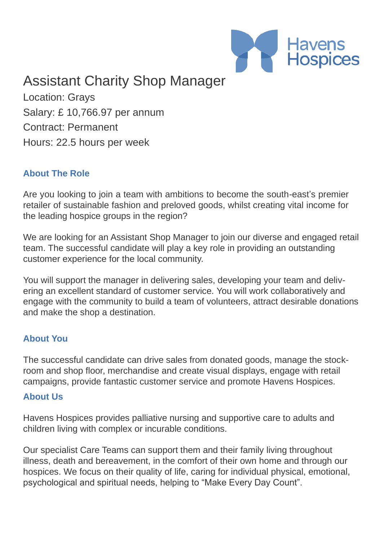

# Assistant Charity Shop Manager

Location: Grays Salary: £ 10,766.97 per annum Contract: Permanent Hours: 22.5 hours per week

#### **About The Role**

Are you looking to join a team with ambitions to become the south-east's premier retailer of sustainable fashion and preloved goods, whilst creating vital income for the leading hospice groups in the region?

We are looking for an Assistant Shop Manager to join our diverse and engaged retail team. The successful candidate will play a key role in providing an outstanding customer experience for the local community.

You will support the manager in delivering sales, developing your team and delivering an excellent standard of customer service. You will work collaboratively and engage with the community to build a team of volunteers, attract desirable donations and make the shop a destination.

#### **About You**

The successful candidate can drive sales from donated goods, manage the stockroom and shop floor, merchandise and create visual displays, engage with retail campaigns, provide fantastic customer service and promote Havens Hospices.

#### **About Us**

Havens Hospices provides palliative nursing and supportive care to adults and children living with complex or incurable conditions.

Our specialist Care Teams can support them and their family living throughout illness, death and bereavement, in the comfort of their own home and through our hospices. We focus on their quality of life, caring for individual physical, emotional, psychological and spiritual needs, helping to "Make Every Day Count".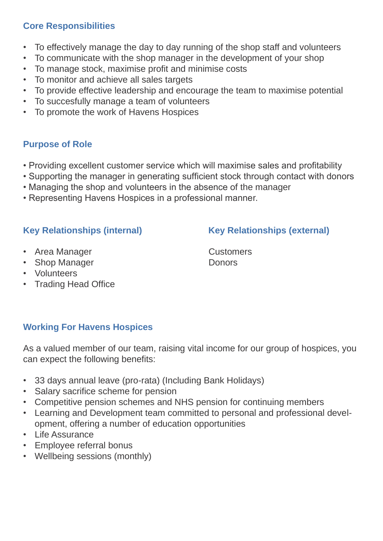# **Core Responsibilities**

- To effectively manage the day to day running of the shop staff and volunteers
- To communicate with the shop manager in the development of your shop
- To manage stock, maximise profit and minimise costs
- To monitor and achieve all sales targets
- To provide effective leadership and encourage the team to maximise potential
- To succesfully manage a team of volunteers
- To promote the work of Havens Hospices

# **Purpose of Role**

- Providing excellent customer service which will maximise sales and profitability
- Supporting the manager in generating sufficient stock through contact with donors
- Managing the shop and volunteers in the absence of the manager
- Representing Havens Hospices in a professional manner.

# Key Relationships (internal) Key Relationships (external)

- Area Manager Customers
- Shop Manager Donors
- Volunteers
- Trading Head Office

# **Working For Havens Hospices**

As a valued member of our team, raising vital income for our group of hospices, you can expect the following benefits:

- 33 days annual leave (pro-rata) (Including Bank Holidays)
- Salary sacrifice scheme for pension
- Competitive pension schemes and NHS pension for continuing members
- Learning and Development team committed to personal and professional development, offering a number of education opportunities
- Life Assurance
- Employee referral bonus
- Wellbeing sessions (monthly)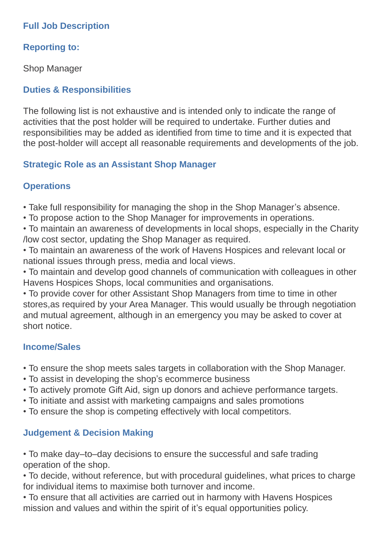# **Full Job Description**

# **Reporting to:**

Shop Manager

# **Duties & Responsibilities**

The following list is not exhaustive and is intended only to indicate the range of activities that the post holder will be required to undertake. Further duties and responsibilities may be added as identified from time to time and it is expected that the post-holder will accept all reasonable requirements and developments of the job.

# **Strategic Role as an Assistant Shop Manager**

# **Operations**

- Take full responsibility for managing the shop in the Shop Manager's absence.
- To propose action to the Shop Manager for improvements in operations.
- To maintain an awareness of developments in local shops, especially in the Charity /low cost sector, updating the Shop Manager as required.
- To maintain an awareness of the work of Havens Hospices and relevant local or national issues through press, media and local views.
- To maintain and develop good channels of communication with colleagues in other Havens Hospices Shops, local communities and organisations.

• To provide cover for other Assistant Shop Managers from time to time in other stores,as required by your Area Manager. This would usually be through negotiation and mutual agreement, although in an emergency you may be asked to cover at short notice.

# **Income/Sales**

- To ensure the shop meets sales targets in collaboration with the Shop Manager.
- To assist in developing the shop's ecommerce business
- To actively promote Gift Aid, sign up donors and achieve performance targets.
- To initiate and assist with marketing campaigns and sales promotions
- To ensure the shop is competing effectively with local competitors.

# **Judgement & Decision Making**

• To make day–to–day decisions to ensure the successful and safe trading operation of the shop.

• To decide, without reference, but with procedural guidelines, what prices to charge for individual items to maximise both turnover and income.

• To ensure that all activities are carried out in harmony with Havens Hospices mission and values and within the spirit of it's equal opportunities policy.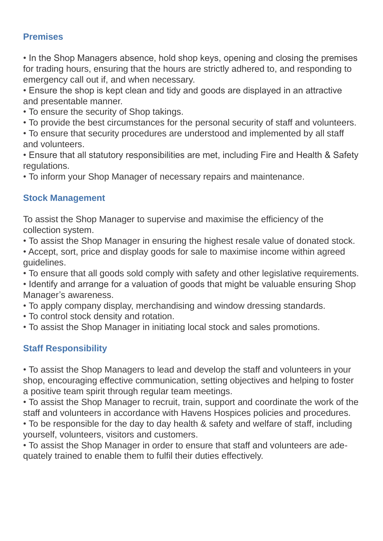## **Premises**

• In the Shop Managers absence, hold shop keys, opening and closing the premises for trading hours, ensuring that the hours are strictly adhered to, and responding to emergency call out if, and when necessary.

• Ensure the shop is kept clean and tidy and goods are displayed in an attractive and presentable manner.

• To ensure the security of Shop takings.

- To provide the best circumstances for the personal security of staff and volunteers.
- To ensure that security procedures are understood and implemented by all staff and volunteers.

• Ensure that all statutory responsibilities are met, including Fire and Health & Safety regulations.

• To inform your Shop Manager of necessary repairs and maintenance.

# **Stock Management**

To assist the Shop Manager to supervise and maximise the efficiency of the collection system.

• To assist the Shop Manager in ensuring the highest resale value of donated stock.

• Accept, sort, price and display goods for sale to maximise income within agreed guidelines.

• To ensure that all goods sold comply with safety and other legislative requirements.

• Identify and arrange for a valuation of goods that might be valuable ensuring Shop Manager's awareness.

- To apply company display, merchandising and window dressing standards.
- To control stock density and rotation.
- To assist the Shop Manager in initiating local stock and sales promotions.

# **Staff Responsibility**

• To assist the Shop Managers to lead and develop the staff and volunteers in your shop, encouraging effective communication, setting objectives and helping to foster a positive team spirit through regular team meetings.

• To assist the Shop Manager to recruit, train, support and coordinate the work of the staff and volunteers in accordance with Havens Hospices policies and procedures.

• To be responsible for the day to day health & safety and welfare of staff, including yourself, volunteers, visitors and customers.

• To assist the Shop Manager in order to ensure that staff and volunteers are adequately trained to enable them to fulfil their duties effectively.